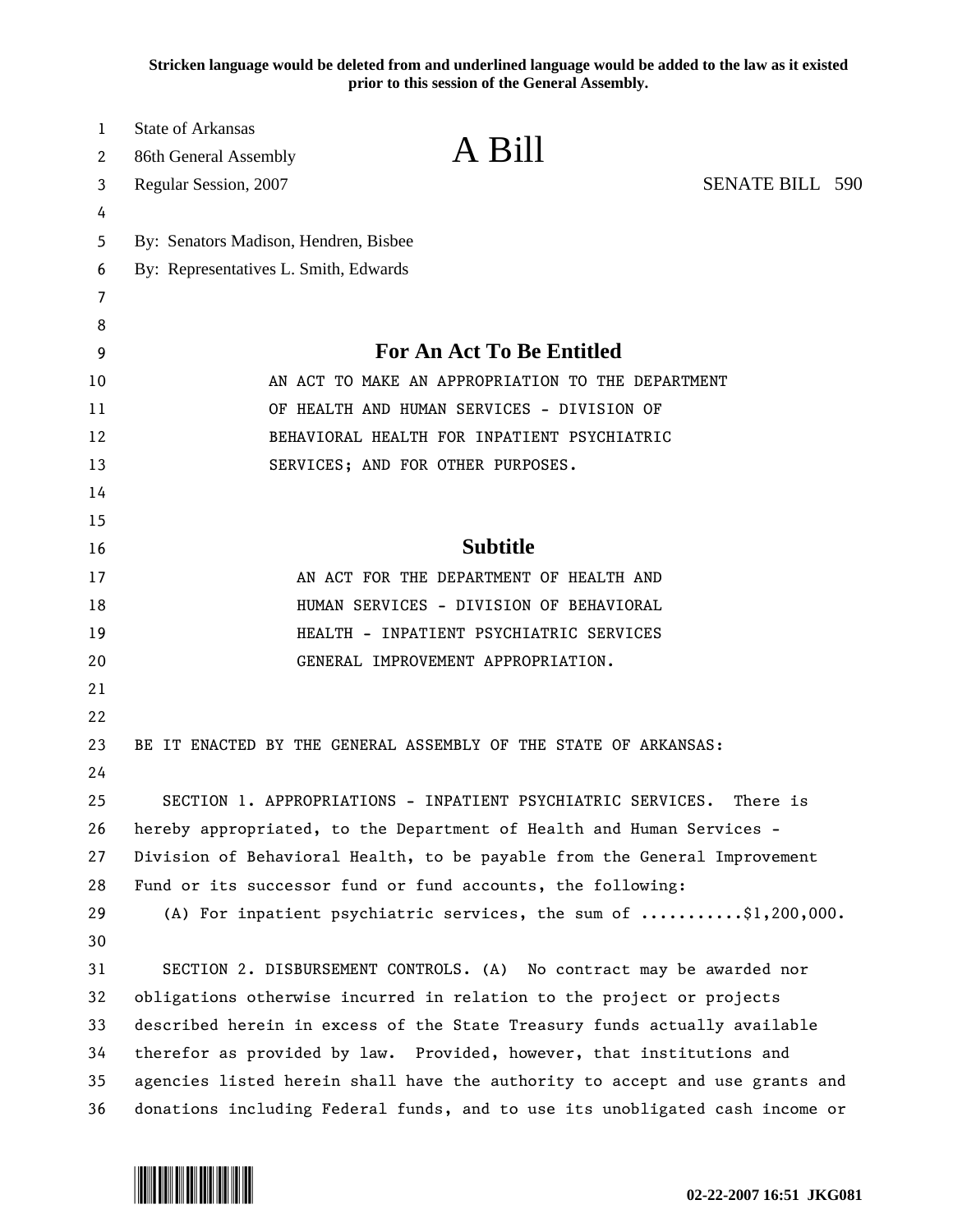**Stricken language would be deleted from and underlined language would be added to the law as it existed prior to this session of the General Assembly.**

| 1        | <b>State of Arkansas</b>                                                         |                                                                              |                        |  |
|----------|----------------------------------------------------------------------------------|------------------------------------------------------------------------------|------------------------|--|
| 2        | 86th General Assembly                                                            | A Bill                                                                       |                        |  |
| 3        | Regular Session, 2007                                                            |                                                                              | <b>SENATE BILL 590</b> |  |
| 4        |                                                                                  |                                                                              |                        |  |
| 5        | By: Senators Madison, Hendren, Bisbee                                            |                                                                              |                        |  |
| 6        | By: Representatives L. Smith, Edwards                                            |                                                                              |                        |  |
| 7        |                                                                                  |                                                                              |                        |  |
| 8        |                                                                                  |                                                                              |                        |  |
| 9        |                                                                                  | <b>For An Act To Be Entitled</b>                                             |                        |  |
| 10       | AN ACT TO MAKE AN APPROPRIATION TO THE DEPARTMENT                                |                                                                              |                        |  |
| 11       | OF HEALTH AND HUMAN SERVICES - DIVISION OF                                       |                                                                              |                        |  |
| 12       | BEHAVIORAL HEALTH FOR INPATIENT PSYCHIATRIC<br>SERVICES; AND FOR OTHER PURPOSES. |                                                                              |                        |  |
| 13       |                                                                                  |                                                                              |                        |  |
| 14<br>15 |                                                                                  |                                                                              |                        |  |
| 16       |                                                                                  | <b>Subtitle</b>                                                              |                        |  |
| 17       |                                                                                  | AN ACT FOR THE DEPARTMENT OF HEALTH AND                                      |                        |  |
| 18       |                                                                                  | HUMAN SERVICES - DIVISION OF BEHAVIORAL                                      |                        |  |
| 19       |                                                                                  | HEALTH - INPATIENT PSYCHIATRIC SERVICES                                      |                        |  |
| 20       |                                                                                  | GENERAL IMPROVEMENT APPROPRIATION.                                           |                        |  |
| 21       |                                                                                  |                                                                              |                        |  |
| 22       |                                                                                  |                                                                              |                        |  |
| 23       |                                                                                  | BE IT ENACTED BY THE GENERAL ASSEMBLY OF THE STATE OF ARKANSAS:              |                        |  |
| 24       |                                                                                  |                                                                              |                        |  |
| 25       |                                                                                  | SECTION 1. APPROPRIATIONS - INPATIENT PSYCHIATRIC SERVICES.                  | There is               |  |
| 26       |                                                                                  | hereby appropriated, to the Department of Health and Human Services -        |                        |  |
| 27       | Division of Behavioral Health, to be payable from the General Improvement        |                                                                              |                        |  |
| 28       | Fund or its successor fund or fund accounts, the following:                      |                                                                              |                        |  |
| 29       |                                                                                  | (A) For inpatient psychiatric services, the sum of \$1,200,000.              |                        |  |
| 30       |                                                                                  |                                                                              |                        |  |
| 31       |                                                                                  | SECTION 2. DISBURSEMENT CONTROLS. (A) No contract may be awarded nor         |                        |  |
| 32       | obligations otherwise incurred in relation to the project or projects            |                                                                              |                        |  |
| 33       | described herein in excess of the State Treasury funds actually available        |                                                                              |                        |  |
| 34       |                                                                                  | therefor as provided by law. Provided, however, that institutions and        |                        |  |
| 35       |                                                                                  | agencies listed herein shall have the authority to accept and use grants and |                        |  |
| 36       |                                                                                  | donations including Federal funds, and to use its unobligated cash income or |                        |  |